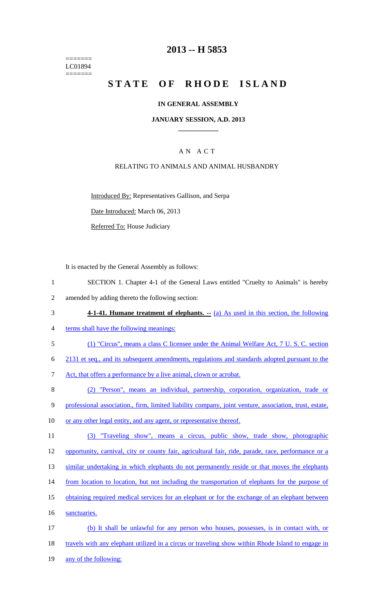======= LC01894 =======

## **2013 -- H 5853**

## **STATE OF RHODE ISLAND**

#### **IN GENERAL ASSEMBLY**

#### **JANUARY SESSION, A.D. 2013 \_\_\_\_\_\_\_\_\_\_\_\_**

## A N A C T

#### RELATING TO ANIMALS AND ANIMAL HUSBANDRY

Introduced By: Representatives Gallison, and Serpa

Date Introduced: March 06, 2013

Referred To: House Judiciary

It is enacted by the General Assembly as follows:

- 1 SECTION 1. Chapter 4-1 of the General Laws entitled "Cruelty to Animals" is hereby 2 amended by adding thereto the following section:
- 3 **4-1-41. Humane treatment of elephants.** (a) As used in this section, the following
- 4 terms shall have the following meanings:
- 5 (1) "Circus", means a class C licensee under the Animal Welfare Act, 7 U. S. C. section
- 6 2131 et seq., and its subsequent amendments, regulations and standards adopted pursuant to the
- 7 Act, that offers a performance by a live animal, clown or acrobat.
- 8 (2) "Person", means an individual, partnership, corporation, organization, trade or
- 9 professional association., firm, limited liability company, joint venture, association, trust, estate,
- 10 or any other legal entity, and any agent, or representative thereof.
- 11 (3) "Traveling show", means a circus, public show, trade show, photographic 12 opportunity, carnival, city or county fair, agricultural fair, ride, parade, race, performance or a
- 13 similar undertaking in which elephants do not permanently reside or that moves the elephants
- 14 from location to location, but not including the transportation of elephants for the purpose of
- 15 obtaining required medical services for an elephant or for the exchange of an elephant between
- 16 sanctuaries.
- 17 (b) It shall be unlawful for any person who houses, possesses, is in contact with, or 18 travels with any elephant utilized in a circus or traveling show within Rhode Island to engage in 19 any of the following: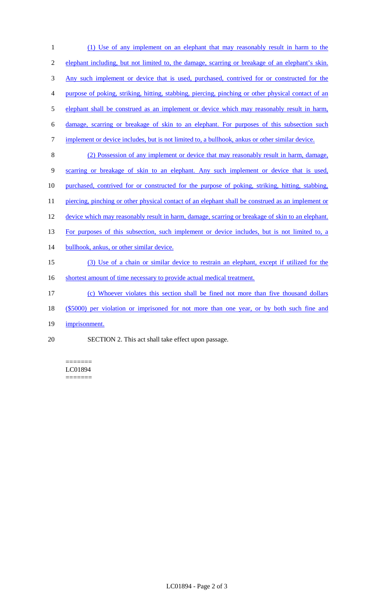| 1              | (1) Use of any implement on an elephant that may reasonably result in harm to the                  |
|----------------|----------------------------------------------------------------------------------------------------|
| $\overline{2}$ | elephant including, but not limited to, the damage, scarring or breakage of an elephant's skin.    |
| 3              | Any such implement or device that is used, purchased, contrived for or constructed for the         |
| 4              | purpose of poking, striking, hitting, stabbing, piercing, pinching or other physical contact of an |
| 5              | elephant shall be construed as an implement or device which may reasonably result in harm,         |
| 6              | damage, scarring or breakage of skin to an elephant. For purposes of this subsection such          |
| 7              | implement or device includes, but is not limited to, a bullhook, ank us or other similar device.   |
| 8              | (2) Possession of any implement or device that may reasonably result in harm, damage,              |
| 9              | scarring or breakage of skin to an elephant. Any such implement or device that is used,            |
| 10             | purchased, contrived for or constructed for the purpose of poking, striking, hitting, stabbing,    |
| 11             | piercing, pinching or other physical contact of an elephant shall be construed as an implement or  |
| 12             | device which may reasonably result in harm, damage, scarring or breakage of skin to an elephant.   |
| 13             | For purposes of this subsection, such implement or device includes, but is not limited to, a       |
| 14             | bullhook, ankus, or other similar device.                                                          |
| 15             | (3) Use of a chain or similar device to restrain an elephant, except if utilized for the           |
| 16             | shortest amount of time necessary to provide actual medical treatment.                             |
| 17             | (c) Whoever violates this section shall be fined not more than five thousand dollars               |
| 18             | (\$5000) per violation or imprisoned for not more than one year, or by both such fine and          |
| 19             | imprisonment.                                                                                      |
|                |                                                                                                    |

20 SECTION 2. This act shall take effect upon passage.

======= LC01894 =======